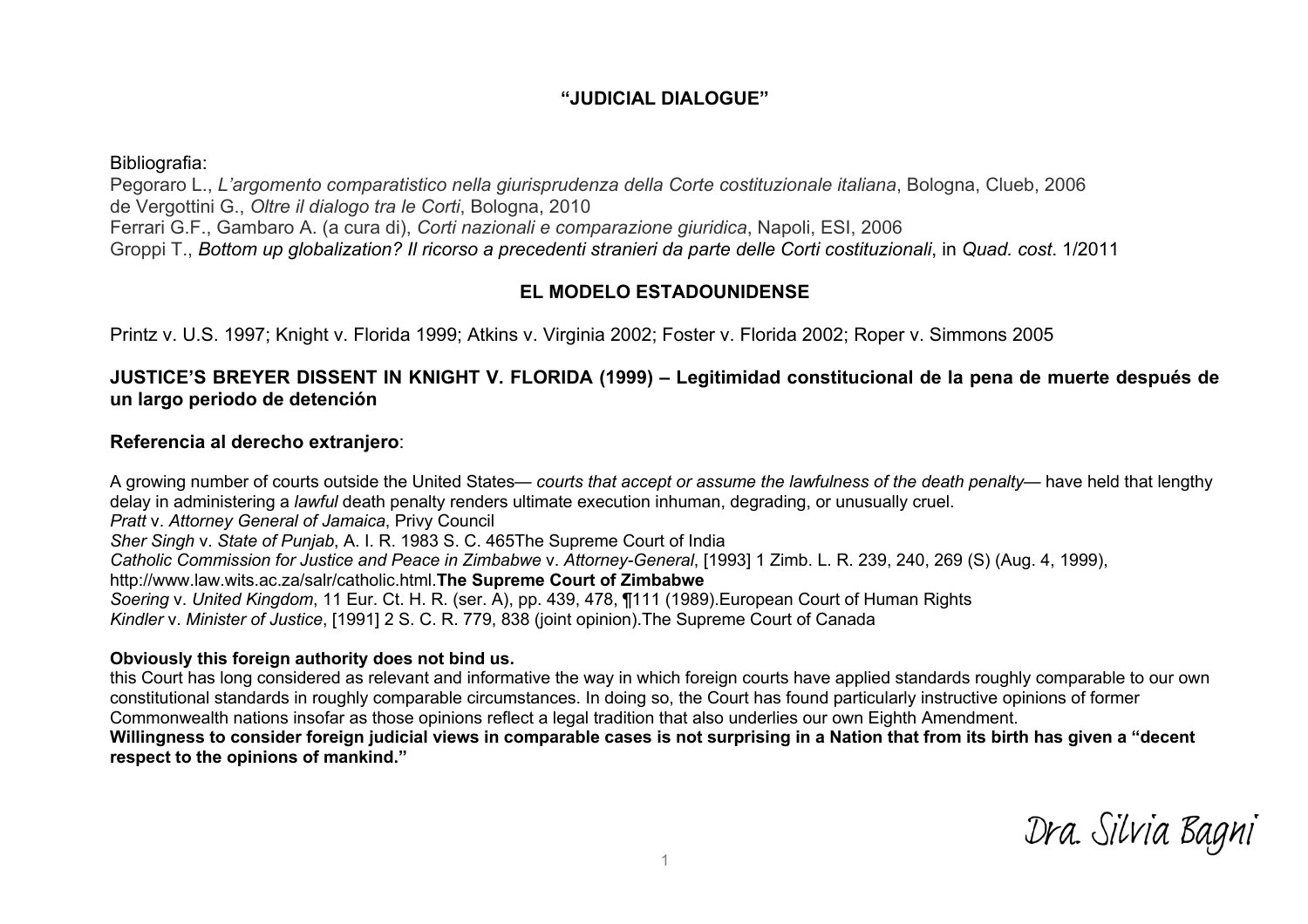### **"JUDICIAL DIALOGUE"**

Bibliografia:

Pegoraro L., *L'argomento comparatistico nella giurisprudenza della Corte costituzionale italiana*, Bologna, Clueb, 2006 de Vergottini G., *Oltre il dialogo tra le Corti*, Bologna, 2010 Ferrari G.F., Gambaro A. (a cura di), *Corti nazionali e comparazione giuridica*, Napoli, ESI, 2006 Groppi T., *Bottom up globalization? Il ricorso a precedenti stranieri da parte delle Corti costituzionali*, in *Quad. cost*. 1/2011

## **EL MODELO ESTADOUNIDENSE**

Printz v. U.S. 1997; Knight v. Florida 1999; Atkins v. Virginia 2002; Foster v. Florida 2002; Roper v. Simmons 2005

### **JUSTICE'S BREYER DISSENT IN KNIGHT V. FLORIDA (1999) – Legitimidad constitucional de la pena de muerte después de un largo periodo de detención**

#### **Referencia al derecho extranjero**:

A growing number of courts outside the United States— *courts that accept or assume the lawfulness of the death penalty*— have held that lengthy delay in administering a *lawful* death penalty renders ultimate execution inhuman, degrading, or unusually cruel. *Pratt* v. *Attorney General of Jamaica*, Privy Council *Sher Singh* v. *State of Punjab*, A. I. R. 1983 S. C. 465The Supreme Court of India *Catholic Commission for Justice and Peace in Zimbabwe* v. *Attorney-General*, [1993] 1 Zimb. L. R. 239, 240, 269 (S) (Aug. 4, 1999), http://www.law.wits.ac.za/salr/catholic.html.**The Supreme Court of Zimbabwe** *Soering* v. *United Kingdom*, 11 Eur. Ct. H. R. (ser. A), pp. 439, 478, ¶111 (1989).European Court of Human Rights *Kindler* v. *Minister of Justice*, [1991] 2 S. C. R. 779, 838 (joint opinion).The Supreme Court of Canada

#### **Obviously this foreign authority does not bind us.**

this Court has long considered as relevant and informative the way in which foreign courts have applied standards roughly comparable to our own constitutional standards in roughly comparable circumstances. In doing so, the Court has found particularly instructive opinions of former Commonwealth nations insofar as those opinions reflect a legal tradition that also underlies our own Eighth Amendment. **Willingness to consider foreign judicial views in comparable cases is not surprising in a Nation that from its birth has given a "decent respect to the opinions of mankind."**

Dra. Silvia Bagni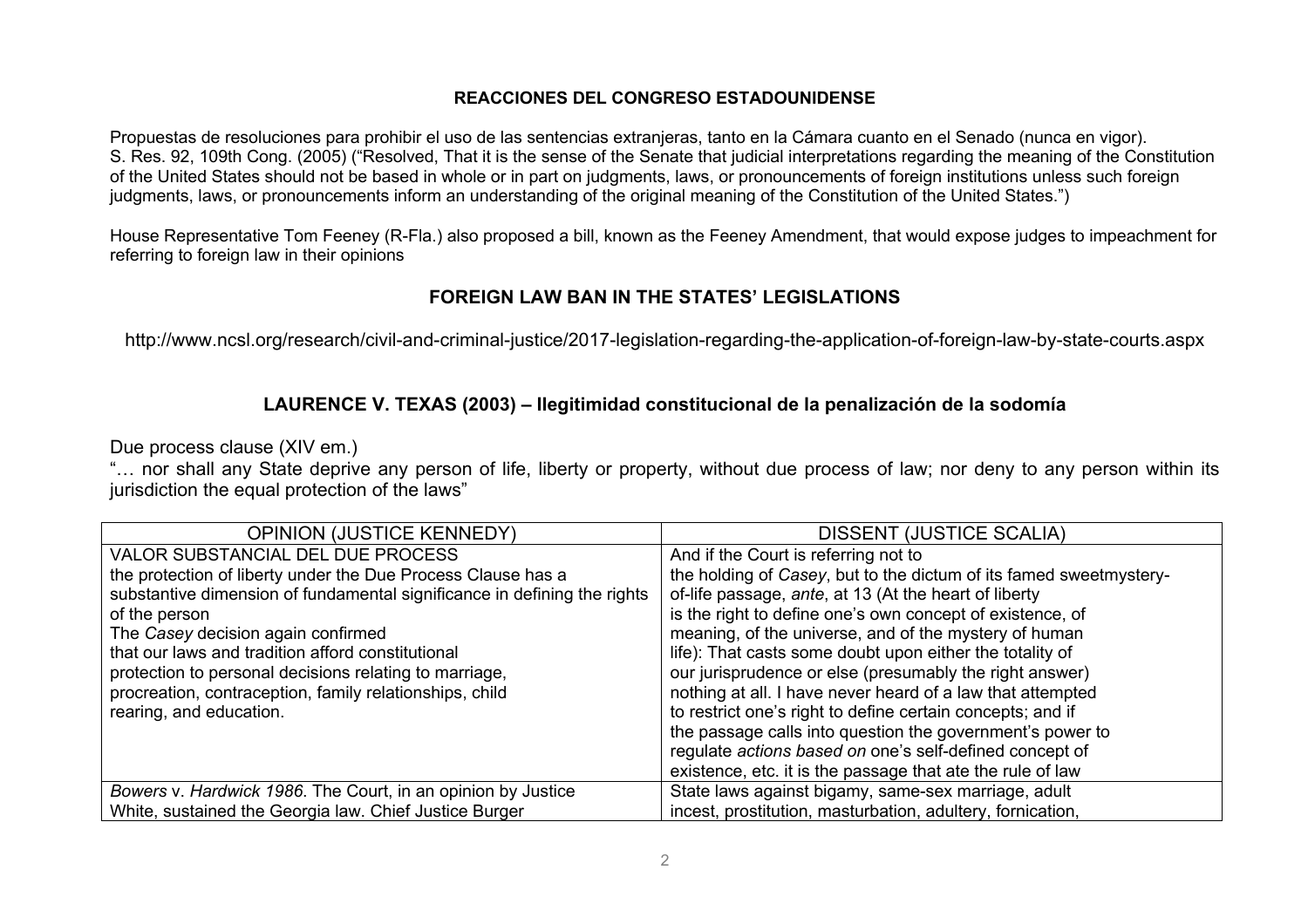### **REACCIONES DEL CONGRESO ESTADOUNIDENSE**

Propuestas de resoluciones para prohibir el uso de las sentencias extranjeras, tanto en la Cámara cuanto en el Senado (nunca en vigor). S. Res. 92, 109th Cong. (2005) ("Resolved, That it is the sense of the Senate that judicial interpretations regarding the meaning of the Constitution of the United States should not be based in whole or in part on judgments, laws, or pronouncements of foreign institutions unless such foreign judgments, laws, or pronouncements inform an understanding of the original meaning of the Constitution of the United States.")

House Representative Tom Feeney (R-Fla.) also proposed a bill, known as the Feeney Amendment, that would expose judges to impeachment for referring to foreign law in their opinions

### **FOREIGN LAW BAN IN THE STATES' LEGISLATIONS**

http://www.ncsl.org/research/civil-and-criminal-justice/2017-legislation-regarding-the-application-of-foreign-law-by-state-courts.aspx

### **LAURENCE V. TEXAS (2003) – Ilegitimidad constitucional de la penalización de la sodomía**

Due process clause (XIV em.)

"… nor shall any State deprive any person of life, liberty or property, without due process of law; nor deny to any person within its jurisdiction the equal protection of the laws"

| <b>OPINION (JUSTICE KENNEDY)</b>                                         | <b>DISSENT (JUSTICE SCALIA)</b>                                    |
|--------------------------------------------------------------------------|--------------------------------------------------------------------|
| <b>VALOR SUBSTANCIAL DEL DUE PROCESS</b>                                 | And if the Court is referring not to                               |
| the protection of liberty under the Due Process Clause has a             | the holding of Casey, but to the dictum of its famed sweetmystery- |
| substantive dimension of fundamental significance in defining the rights | of-life passage, ante, at 13 (At the heart of liberty              |
| of the person                                                            | is the right to define one's own concept of existence, of          |
| The Casey decision again confirmed                                       | meaning, of the universe, and of the mystery of human              |
| that our laws and tradition afford constitutional                        | life): That casts some doubt upon either the totality of           |
| protection to personal decisions relating to marriage,                   | our jurisprudence or else (presumably the right answer)            |
| procreation, contraception, family relationships, child                  | nothing at all. I have never heard of a law that attempted         |
| rearing, and education.                                                  | to restrict one's right to define certain concepts; and if         |
|                                                                          | the passage calls into question the government's power to          |
|                                                                          | regulate actions based on one's self-defined concept of            |
|                                                                          | existence, etc. it is the passage that ate the rule of law         |
| Bowers v. Hardwick 1986. The Court, in an opinion by Justice             | State laws against bigamy, same-sex marriage, adult                |
| White, sustained the Georgia law. Chief Justice Burger                   | incest, prostitution, masturbation, adultery, fornication,         |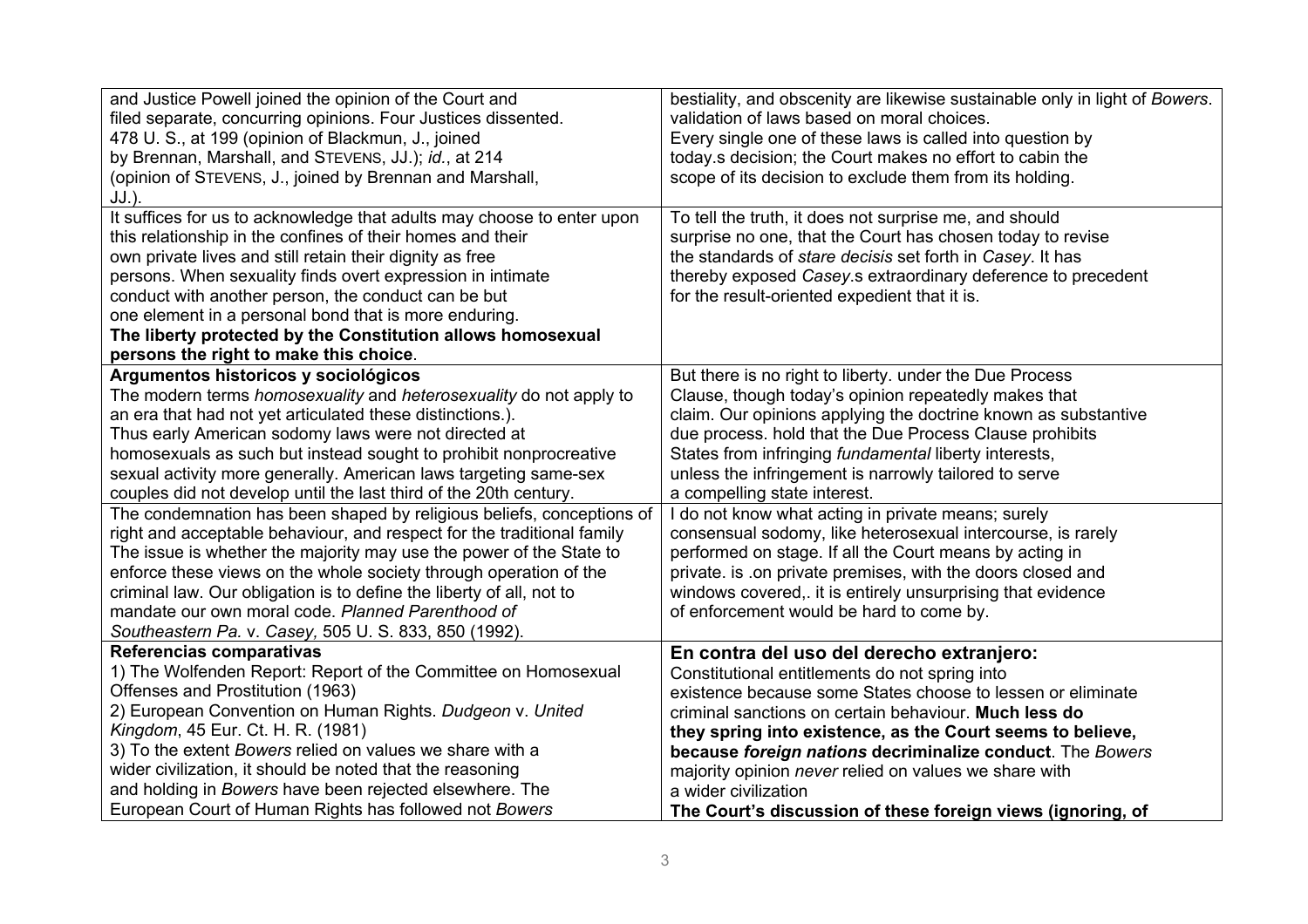| and Justice Powell joined the opinion of the Court and                 | bestiality, and obscenity are likewise sustainable only in light of Bowers. |
|------------------------------------------------------------------------|-----------------------------------------------------------------------------|
| filed separate, concurring opinions. Four Justices dissented.          | validation of laws based on moral choices.                                  |
| 478 U. S., at 199 (opinion of Blackmun, J., joined                     | Every single one of these laws is called into question by                   |
| by Brennan, Marshall, and STEVENS, JJ.); id., at 214                   | today s decision; the Court makes no effort to cabin the                    |
| (opinion of STEVENS, J., joined by Brennan and Marshall,               | scope of its decision to exclude them from its holding.                     |
| $JJ.$ ).                                                               |                                                                             |
| It suffices for us to acknowledge that adults may choose to enter upon | To tell the truth, it does not surprise me, and should                      |
| this relationship in the confines of their homes and their             | surprise no one, that the Court has chosen today to revise                  |
| own private lives and still retain their dignity as free               | the standards of stare decisis set forth in Casey. It has                   |
| persons. When sexuality finds overt expression in intimate             | thereby exposed Casey.s extraordinary deference to precedent                |
| conduct with another person, the conduct can be but                    | for the result-oriented expedient that it is.                               |
| one element in a personal bond that is more enduring.                  |                                                                             |
| The liberty protected by the Constitution allows homosexual            |                                                                             |
| persons the right to make this choice.                                 |                                                                             |
| Argumentos historicos y sociológicos                                   | But there is no right to liberty. under the Due Process                     |
| The modern terms homosexuality and heterosexuality do not apply to     | Clause, though today's opinion repeatedly makes that                        |
| an era that had not yet articulated these distinctions.).              | claim. Our opinions applying the doctrine known as substantive              |
| Thus early American sodomy laws were not directed at                   | due process. hold that the Due Process Clause prohibits                     |
| homosexuals as such but instead sought to prohibit nonprocreative      | States from infringing fundamental liberty interests,                       |
| sexual activity more generally. American laws targeting same-sex       | unless the infringement is narrowly tailored to serve                       |
| couples did not develop until the last third of the 20th century.      | a compelling state interest.                                                |
| The condemnation has been shaped by religious beliefs, conceptions of  | I do not know what acting in private means; surely                          |
| right and acceptable behaviour, and respect for the traditional family | consensual sodomy, like heterosexual intercourse, is rarely                 |
| The issue is whether the majority may use the power of the State to    | performed on stage. If all the Court means by acting in                     |
| enforce these views on the whole society through operation of the      | private. is on private premises, with the doors closed and                  |
| criminal law. Our obligation is to define the liberty of all, not to   | windows covered,. it is entirely unsurprising that evidence                 |
| mandate our own moral code. Planned Parenthood of                      | of enforcement would be hard to come by.                                    |
| Southeastern Pa. v. Casey, 505 U. S. 833, 850 (1992).                  |                                                                             |
| Referencias comparativas                                               | En contra del uso del derecho extranjero:                                   |
| 1) The Wolfenden Report: Report of the Committee on Homosexual         | Constitutional entitlements do not spring into                              |
| Offenses and Prostitution (1963)                                       | existence because some States choose to lessen or eliminate                 |
| 2) European Convention on Human Rights. Dudgeon v. United              | criminal sanctions on certain behaviour. Much less do                       |
| Kingdom, 45 Eur. Ct. H. R. (1981)                                      | they spring into existence, as the Court seems to believe,                  |
| 3) To the extent Bowers relied on values we share with a               | because foreign nations decriminalize conduct. The Bowers                   |
| wider civilization, it should be noted that the reasoning              | majority opinion never relied on values we share with                       |
| and holding in Bowers have been rejected elsewhere. The                | a wider civilization                                                        |
| European Court of Human Rights has followed not Bowers                 | The Court's discussion of these foreign views (ignoring, of                 |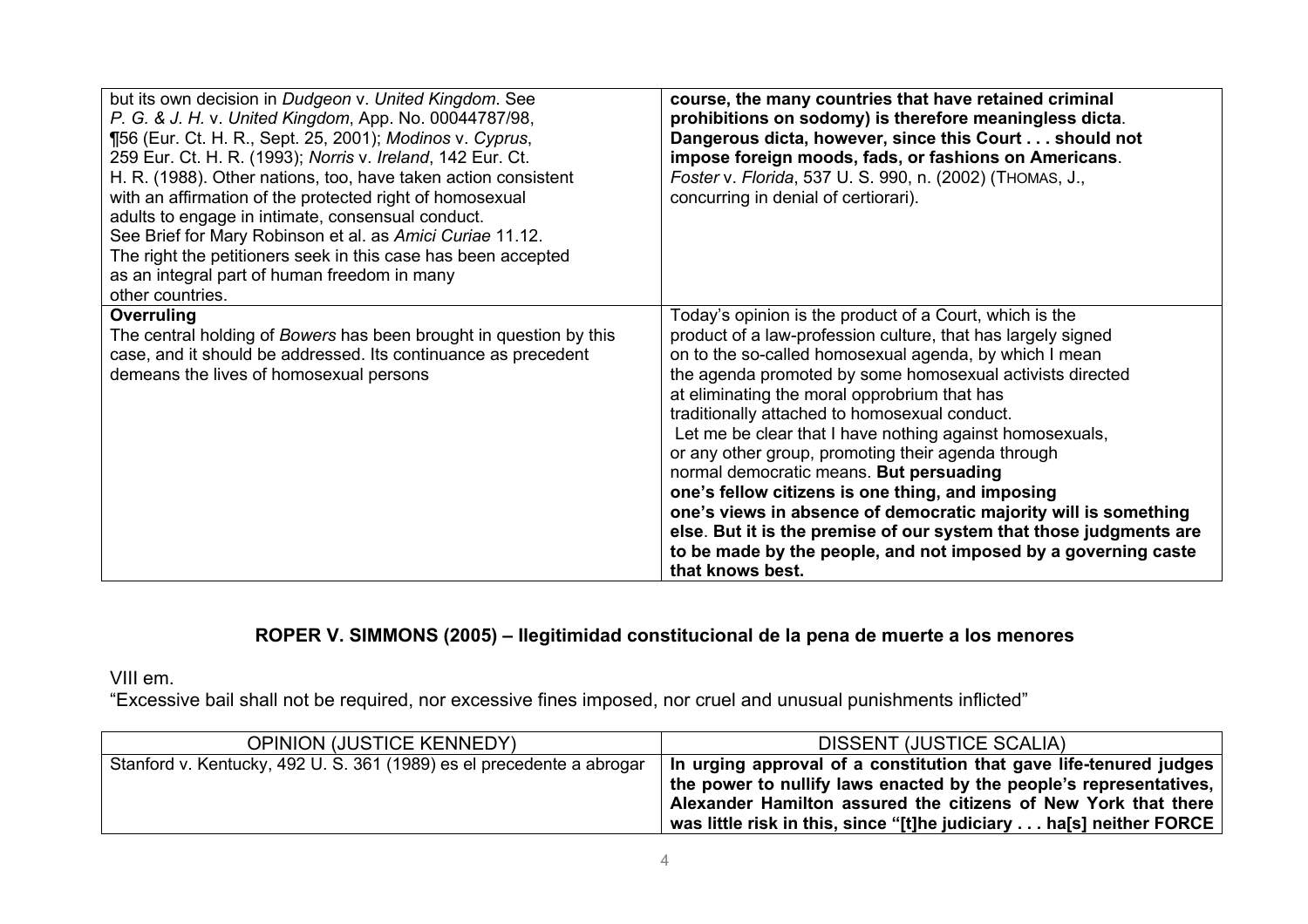| but its own decision in Dudgeon v. United Kingdom. See<br>P. G. & J. H. v. United Kingdom, App. No. 00044787/98,<br>¶56 (Eur. Ct. H. R., Sept. 25, 2001); Modinos v. Cyprus,<br>259 Eur. Ct. H. R. (1993); Norris v. Ireland, 142 Eur. Ct.<br>H. R. (1988). Other nations, too, have taken action consistent<br>with an affirmation of the protected right of homosexual<br>adults to engage in intimate, consensual conduct.<br>See Brief for Mary Robinson et al. as Amici Curiae 11.12.<br>The right the petitioners seek in this case has been accepted<br>as an integral part of human freedom in many<br>other countries. | course, the many countries that have retained criminal<br>prohibitions on sodomy) is therefore meaningless dicta.<br>Dangerous dicta, however, since this Court should not<br>impose foreign moods, fads, or fashions on Americans.<br>Foster v. Florida, 537 U. S. 990, n. (2002) (THOMAS, J.,<br>concurring in denial of certiorari).                                                                                                                                                                                                                                                                                                                                                                                                                                                         |
|---------------------------------------------------------------------------------------------------------------------------------------------------------------------------------------------------------------------------------------------------------------------------------------------------------------------------------------------------------------------------------------------------------------------------------------------------------------------------------------------------------------------------------------------------------------------------------------------------------------------------------|-------------------------------------------------------------------------------------------------------------------------------------------------------------------------------------------------------------------------------------------------------------------------------------------------------------------------------------------------------------------------------------------------------------------------------------------------------------------------------------------------------------------------------------------------------------------------------------------------------------------------------------------------------------------------------------------------------------------------------------------------------------------------------------------------|
| <b>Overruling</b><br>The central holding of Bowers has been brought in question by this<br>case, and it should be addressed. Its continuance as precedent<br>demeans the lives of homosexual persons                                                                                                                                                                                                                                                                                                                                                                                                                            | Today's opinion is the product of a Court, which is the<br>product of a law-profession culture, that has largely signed<br>on to the so-called homosexual agenda, by which I mean<br>the agenda promoted by some homosexual activists directed<br>at eliminating the moral opprobrium that has<br>traditionally attached to homosexual conduct.<br>Let me be clear that I have nothing against homosexuals,<br>or any other group, promoting their agenda through<br>normal democratic means. But persuading<br>one's fellow citizens is one thing, and imposing<br>one's views in absence of democratic majority will is something<br>else. But it is the premise of our system that those judgments are<br>to be made by the people, and not imposed by a governing caste<br>that knows best. |

# **ROPER V. SIMMONS (2005) – Ilegitimidad constitucional de la pena de muerte a los menores**

VIII em.

"Excessive bail shall not be required, nor excessive fines imposed, nor cruel and unusual punishments inflicted"

| <b>OPINION (JUSTICE KENNEDY)</b>                                      | <b>DISSENT (JUSTICE SCALIA)</b>                                     |
|-----------------------------------------------------------------------|---------------------------------------------------------------------|
| Stanford v. Kentucky, 492 U. S. 361 (1989) es el precedente a abrogar | In urging approval of a constitution that gave life-tenured judges  |
|                                                                       | the power to nullify laws enacted by the people's representatives,  |
|                                                                       | Alexander Hamilton assured the citizens of New York that there      |
|                                                                       | was little risk in this, since "[t]he judiciary ha[s] neither FORCE |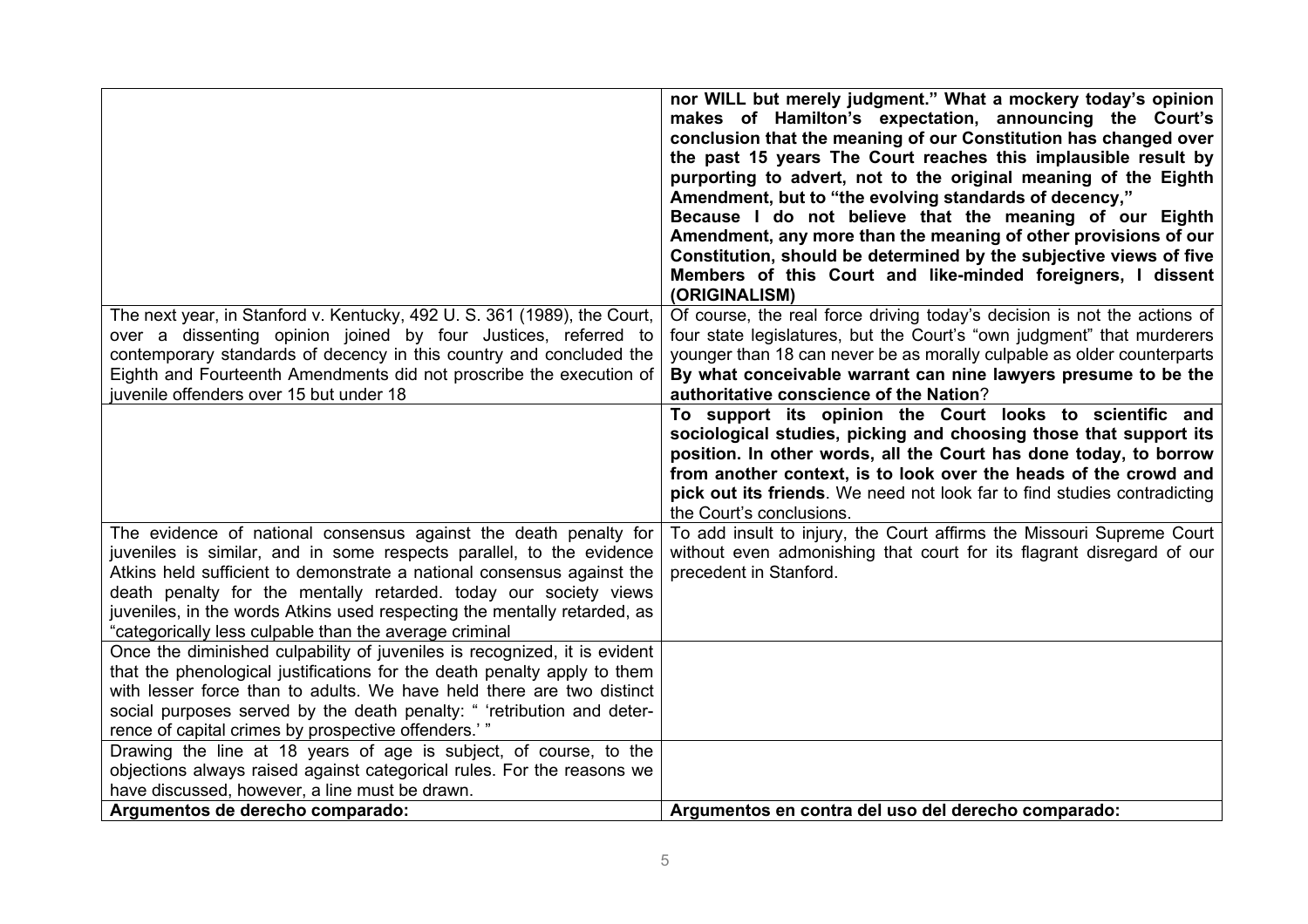|                                                                                                                                                                                                                    | nor WILL but merely judgment." What a mockery today's opinion<br>makes of Hamilton's expectation, announcing the Court's<br>conclusion that the meaning of our Constitution has changed over<br>the past 15 years The Court reaches this implausible result by<br>purporting to advert, not to the original meaning of the Eighth<br>Amendment, but to "the evolving standards of decency,"<br>Because I do not believe that the meaning of our Eighth<br>Amendment, any more than the meaning of other provisions of our<br>Constitution, should be determined by the subjective views of five<br>Members of this Court and like-minded foreigners, I dissent<br>(ORIGINALISM) |
|--------------------------------------------------------------------------------------------------------------------------------------------------------------------------------------------------------------------|---------------------------------------------------------------------------------------------------------------------------------------------------------------------------------------------------------------------------------------------------------------------------------------------------------------------------------------------------------------------------------------------------------------------------------------------------------------------------------------------------------------------------------------------------------------------------------------------------------------------------------------------------------------------------------|
| The next year, in Stanford v. Kentucky, 492 U. S. 361 (1989), the Court,                                                                                                                                           | Of course, the real force driving today's decision is not the actions of                                                                                                                                                                                                                                                                                                                                                                                                                                                                                                                                                                                                        |
| over a dissenting opinion joined by four Justices, referred to                                                                                                                                                     | four state legislatures, but the Court's "own judgment" that murderers                                                                                                                                                                                                                                                                                                                                                                                                                                                                                                                                                                                                          |
| contemporary standards of decency in this country and concluded the<br>Eighth and Fourteenth Amendments did not proscribe the execution of                                                                         | younger than 18 can never be as morally culpable as older counterparts<br>By what conceivable warrant can nine lawyers presume to be the                                                                                                                                                                                                                                                                                                                                                                                                                                                                                                                                        |
| juvenile offenders over 15 but under 18                                                                                                                                                                            | authoritative conscience of the Nation?                                                                                                                                                                                                                                                                                                                                                                                                                                                                                                                                                                                                                                         |
|                                                                                                                                                                                                                    | To support its opinion the Court looks to scientific and<br>sociological studies, picking and choosing those that support its<br>position. In other words, all the Court has done today, to borrow<br>from another context, is to look over the heads of the crowd and<br>pick out its friends. We need not look far to find studies contradicting<br>the Court's conclusions.                                                                                                                                                                                                                                                                                                  |
| The evidence of national consensus against the death penalty for<br>juveniles is similar, and in some respects parallel, to the evidence<br>Atkins held sufficient to demonstrate a national consensus against the | To add insult to injury, the Court affirms the Missouri Supreme Court<br>without even admonishing that court for its flagrant disregard of our<br>precedent in Stanford.                                                                                                                                                                                                                                                                                                                                                                                                                                                                                                        |
| death penalty for the mentally retarded. today our society views<br>juveniles, in the words Atkins used respecting the mentally retarded, as<br>"categorically less culpable than the average criminal             |                                                                                                                                                                                                                                                                                                                                                                                                                                                                                                                                                                                                                                                                                 |
| Once the diminished culpability of juveniles is recognized, it is evident                                                                                                                                          |                                                                                                                                                                                                                                                                                                                                                                                                                                                                                                                                                                                                                                                                                 |
| that the phenological justifications for the death penalty apply to them                                                                                                                                           |                                                                                                                                                                                                                                                                                                                                                                                                                                                                                                                                                                                                                                                                                 |
| with lesser force than to adults. We have held there are two distinct                                                                                                                                              |                                                                                                                                                                                                                                                                                                                                                                                                                                                                                                                                                                                                                                                                                 |
| social purposes served by the death penalty: " 'retribution and deter-<br>rence of capital crimes by prospective offenders.'"                                                                                      |                                                                                                                                                                                                                                                                                                                                                                                                                                                                                                                                                                                                                                                                                 |
| Drawing the line at 18 years of age is subject, of course, to the                                                                                                                                                  |                                                                                                                                                                                                                                                                                                                                                                                                                                                                                                                                                                                                                                                                                 |
| objections always raised against categorical rules. For the reasons we                                                                                                                                             |                                                                                                                                                                                                                                                                                                                                                                                                                                                                                                                                                                                                                                                                                 |
| have discussed, however, a line must be drawn.                                                                                                                                                                     |                                                                                                                                                                                                                                                                                                                                                                                                                                                                                                                                                                                                                                                                                 |
| Argumentos de derecho comparado:                                                                                                                                                                                   | Argumentos en contra del uso del derecho comparado:                                                                                                                                                                                                                                                                                                                                                                                                                                                                                                                                                                                                                             |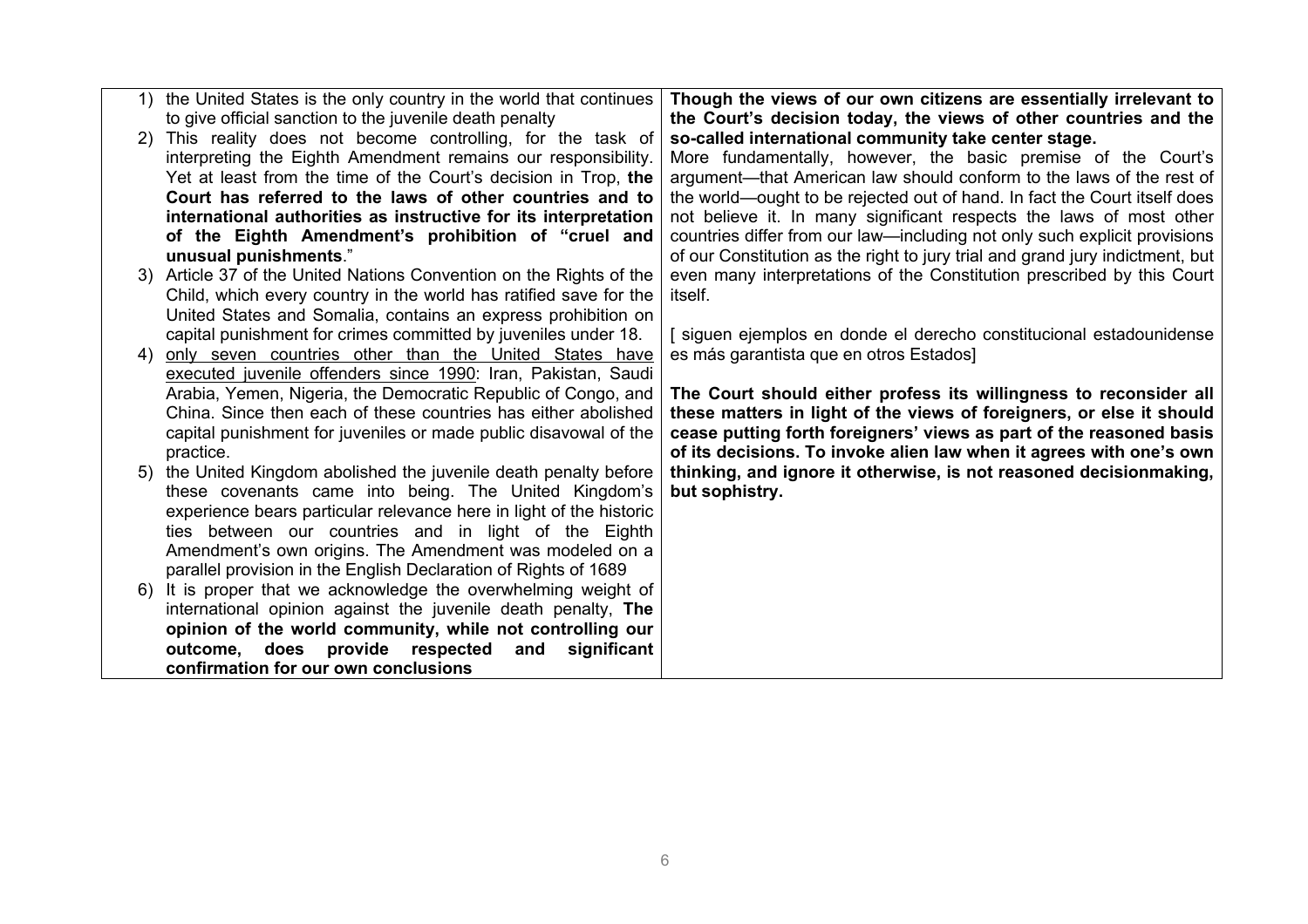|    | the United States is the only country in the world that continues   | Though the views of our own citizens are essentially irrelevant to            |
|----|---------------------------------------------------------------------|-------------------------------------------------------------------------------|
|    | to give official sanction to the juvenile death penalty             | the Court's decision today, the views of other countries and the              |
| 2) | This reality does not become controlling, for the task of           | so-called international community take center stage.                          |
|    | interpreting the Eighth Amendment remains our responsibility.       | More fundamentally, however, the basic premise of the Court's                 |
|    | Yet at least from the time of the Court's decision in Trop, the     | argument—that American law should conform to the laws of the rest of          |
|    | Court has referred to the laws of other countries and to            | the world—ought to be rejected out of hand. In fact the Court itself does     |
|    | international authorities as instructive for its interpretation     | not believe it. In many significant respects the laws of most other           |
|    | of the Eighth Amendment's prohibition of "cruel and                 | countries differ from our law—including not only such explicit provisions     |
|    | unusual punishments."                                               | of our Constitution as the right to jury trial and grand jury indictment, but |
|    | 3) Article 37 of the United Nations Convention on the Rights of the | even many interpretations of the Constitution prescribed by this Court        |
|    | Child, which every country in the world has ratified save for the   | <i>itself.</i>                                                                |
|    | United States and Somalia, contains an express prohibition on       |                                                                               |
|    | capital punishment for crimes committed by juveniles under 18.      | siguen ejemplos en donde el derecho constitucional estadounidense             |
| 4) | only seven countries other than the United States have              | es más garantista que en otros Estados]                                       |
|    | executed juvenile offenders since 1990: Iran, Pakistan, Saudi       |                                                                               |
|    | Arabia, Yemen, Nigeria, the Democratic Republic of Congo, and       | The Court should either profess its willingness to reconsider all             |
|    | China. Since then each of these countries has either abolished      | these matters in light of the views of foreigners, or else it should          |
|    | capital punishment for juveniles or made public disavowal of the    | cease putting forth foreigners' views as part of the reasoned basis           |
|    | practice.                                                           | of its decisions. To invoke alien law when it agrees with one's own           |
| 5) | the United Kingdom abolished the juvenile death penalty before      | thinking, and ignore it otherwise, is not reasoned decisionmaking,            |
|    | these covenants came into being. The United Kingdom's               | but sophistry.                                                                |
|    | experience bears particular relevance here in light of the historic |                                                                               |
|    | ties between our countries and in light of the Eighth               |                                                                               |
|    | Amendment's own origins. The Amendment was modeled on a             |                                                                               |
|    | parallel provision in the English Declaration of Rights of 1689     |                                                                               |
| 6) | It is proper that we acknowledge the overwhelming weight of         |                                                                               |
|    | international opinion against the juvenile death penalty, The       |                                                                               |
|    | opinion of the world community, while not controlling our           |                                                                               |
|    | outcome, does provide respected and significant                     |                                                                               |
|    | confirmation for our own conclusions                                |                                                                               |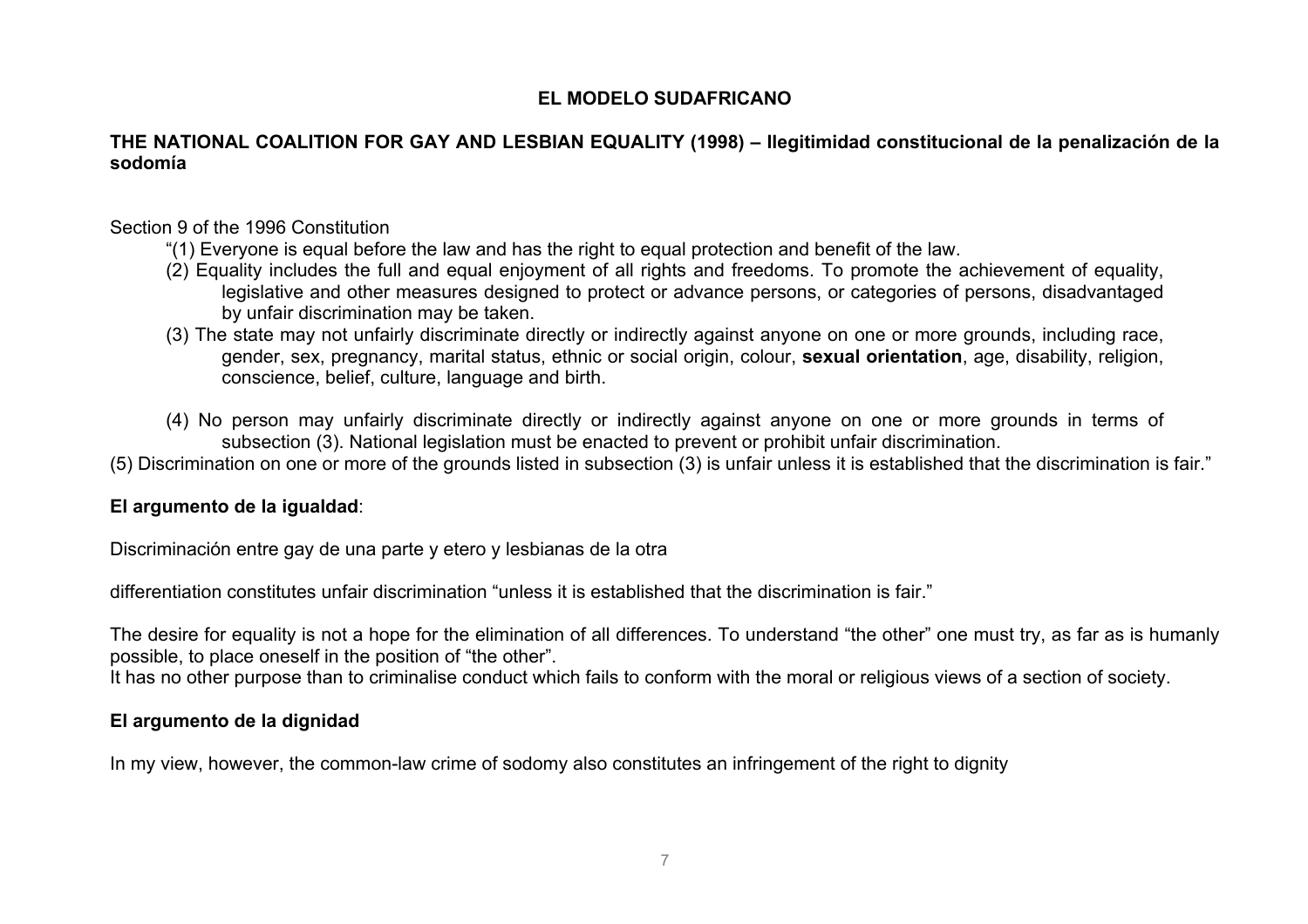# **EL MODELO SUDAFRICANO**

### **THE NATIONAL COALITION FOR GAY AND LESBIAN EQUALITY (1998) – Ilegitimidad constitucional de la penalización de la sodomía**

### Section 9 of the 1996 Constitution

- "(1) Everyone is equal before the law and has the right to equal protection and benefit of the law.
- (2) Equality includes the full and equal enjoyment of all rights and freedoms. To promote the achievement of equality, legislative and other measures designed to protect or advance persons, or categories of persons, disadvantaged by unfair discrimination may be taken.
- (3) The state may not unfairly discriminate directly or indirectly against anyone on one or more grounds, including race, gender, sex, pregnancy, marital status, ethnic or social origin, colour, **sexual orientation**, age, disability, religion, conscience, belief, culture, language and birth.
- (4) No person may unfairly discriminate directly or indirectly against anyone on one or more grounds in terms of subsection (3). National legislation must be enacted to prevent or prohibit unfair discrimination.
- (5) Discrimination on one or more of the grounds listed in subsection (3) is unfair unless it is established that the discrimination is fair."

### **El argumento de la igualdad**:

Discriminación entre gay de una parte y etero y lesbianas de la otra

differentiation constitutes unfair discrimination "unless it is established that the discrimination is fair."

The desire for equality is not a hope for the elimination of all differences. To understand "the other" one must try, as far as is humanly possible, to place oneself in the position of "the other".

It has no other purpose than to criminalise conduct which fails to conform with the moral or religious views of a section of society.

### **El argumento de la dignidad**

In my view, however, the common-law crime of sodomy also constitutes an infringement of the right to dignity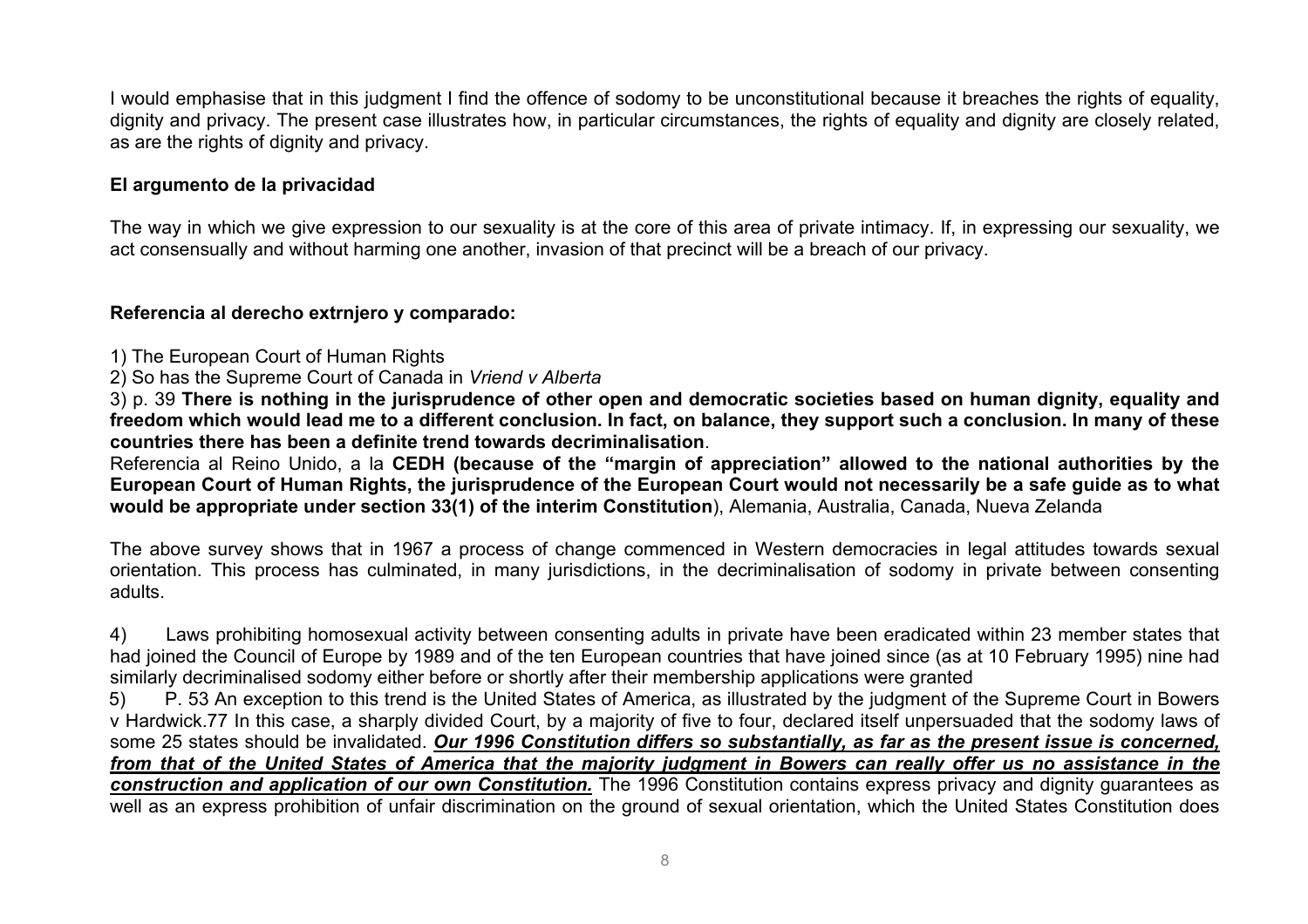I would emphasise that in this judgment I find the offence of sodomy to be unconstitutional because it breaches the rights of equality, dignity and privacy. The present case illustrates how, in particular circumstances, the rights of equality and dignity are closely related, as are the rights of dignity and privacy.

### **El argumento de la privacidad**

The way in which we give expression to our sexuality is at the core of this area of private intimacy. If, in expressing our sexuality, we act consensually and without harming one another, invasion of that precinct will be a breach of our privacy.

#### **Referencia al derecho extrnjero y comparado:**

- 1) The European Court of Human Rights
- 2) So has the Supreme Court of Canada in *Vriend v Alberta*

3) p. 39 **There is nothing in the jurisprudence of other open and democratic societies based on human dignity, equality and freedom which would lead me to a different conclusion. In fact, on balance, they support such a conclusion. In many of these countries there has been a definite trend towards decriminalisation**.

Referencia al Reino Unido, a la **CEDH (because of the "margin of appreciation" allowed to the national authorities by the European Court of Human Rights, the jurisprudence of the European Court would not necessarily be a safe guide as to what would be appropriate under section 33(1) of the interim Constitution**), Alemania, Australia, Canada, Nueva Zelanda

The above survey shows that in 1967 a process of change commenced in Western democracies in legal attitudes towards sexual orientation. This process has culminated, in many jurisdictions, in the decriminalisation of sodomy in private between consenting adults.

4) Laws prohibiting homosexual activity between consenting adults in private have been eradicated within 23 member states that had joined the Council of Europe by 1989 and of the ten European countries that have joined since (as at 10 February 1995) nine had similarly decriminalised sodomy either before or shortly after their membership applications were granted

5) P. 53 An exception to this trend is the United States of America, as illustrated by the judgment of the Supreme Court in Bowers v Hardwick.77 In this case, a sharply divided Court, by a majority of five to four, declared itself unpersuaded that the sodomy laws of some 25 states should be invalidated. *Our 1996 Constitution differs so substantially, as far as the present issue is concerned, from that of the United States of America that the majority judgment in Bowers can really offer us no assistance in the construction and application of our own Constitution.* The 1996 Constitution contains express privacy and dignity guarantees as well as an express prohibition of unfair discrimination on the ground of sexual orientation, which the United States Constitution does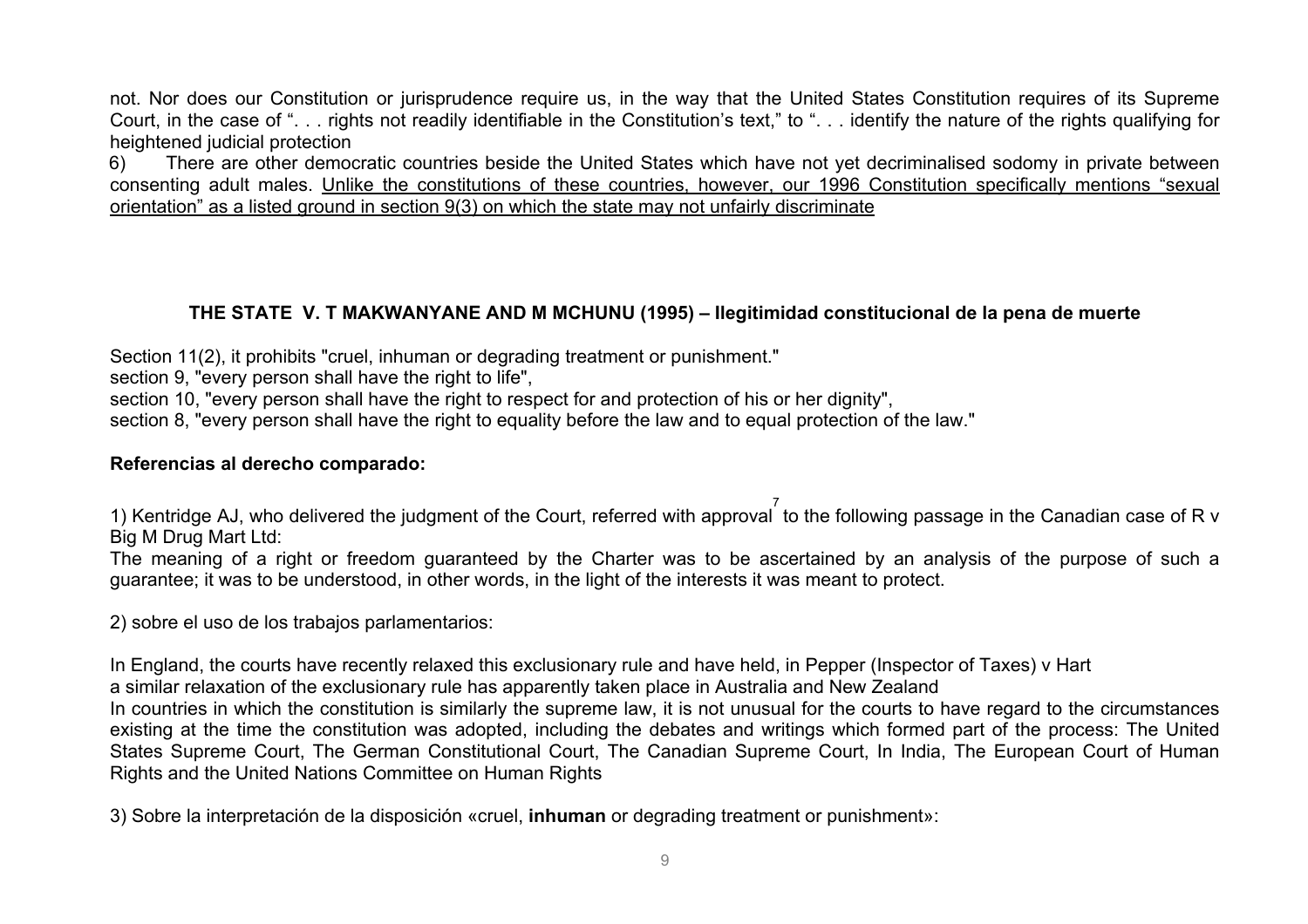not. Nor does our Constitution or jurisprudence require us, in the way that the United States Constitution requires of its Supreme Court, in the case of ". . . rights not readily identifiable in the Constitution's text," to ". . . identify the nature of the rights qualifying for heightened judicial protection

6) There are other democratic countries beside the United States which have not yet decriminalised sodomy in private between consenting adult males. Unlike the constitutions of these countries, however, our 1996 Constitution specifically mentions "sexual orientation" as a listed ground in section 9(3) on which the state may not unfairly discriminate

## **THE STATE V. T MAKWANYANE AND M MCHUNU (1995) – Ilegitimidad constitucional de la pena de muerte**

Section 11(2), it prohibits "cruel, inhuman or degrading treatment or punishment."

section 9, "every person shall have the right to life",

section 10, "every person shall have the right to respect for and protection of his or her dignity",

section 8, "every person shall have the right to equality before the law and to equal protection of the law."

### **Referencias al derecho comparado:**

1) Kentridge AJ, who delivered the judgment of the Court, referred with approval to the following passage in the Canadian case of R v Big M Drug Mart Ltd:

The meaning of a right or freedom guaranteed by the Charter was to be ascertained by an analysis of the purpose of such a guarantee; it was to be understood, in other words, in the light of the interests it was meant to protect.

2) sobre el uso de los trabajos parlamentarios:

In England, the courts have recently relaxed this exclusionary rule and have held, in Pepper (Inspector of Taxes) v Hart a similar relaxation of the exclusionary rule has apparently taken place in Australia and New Zealand In countries in which the constitution is similarly the supreme law, it is not unusual for the courts to have regard to the circumstances existing at the time the constitution was adopted, including the debates and writings which formed part of the process: The United States Supreme Court, The German Constitutional Court, The Canadian Supreme Court, In India, The European Court of Human Rights and the United Nations Committee on Human Rights

3) Sobre la interpretación de la disposición «cruel, **inhuman** or degrading treatment or punishment»: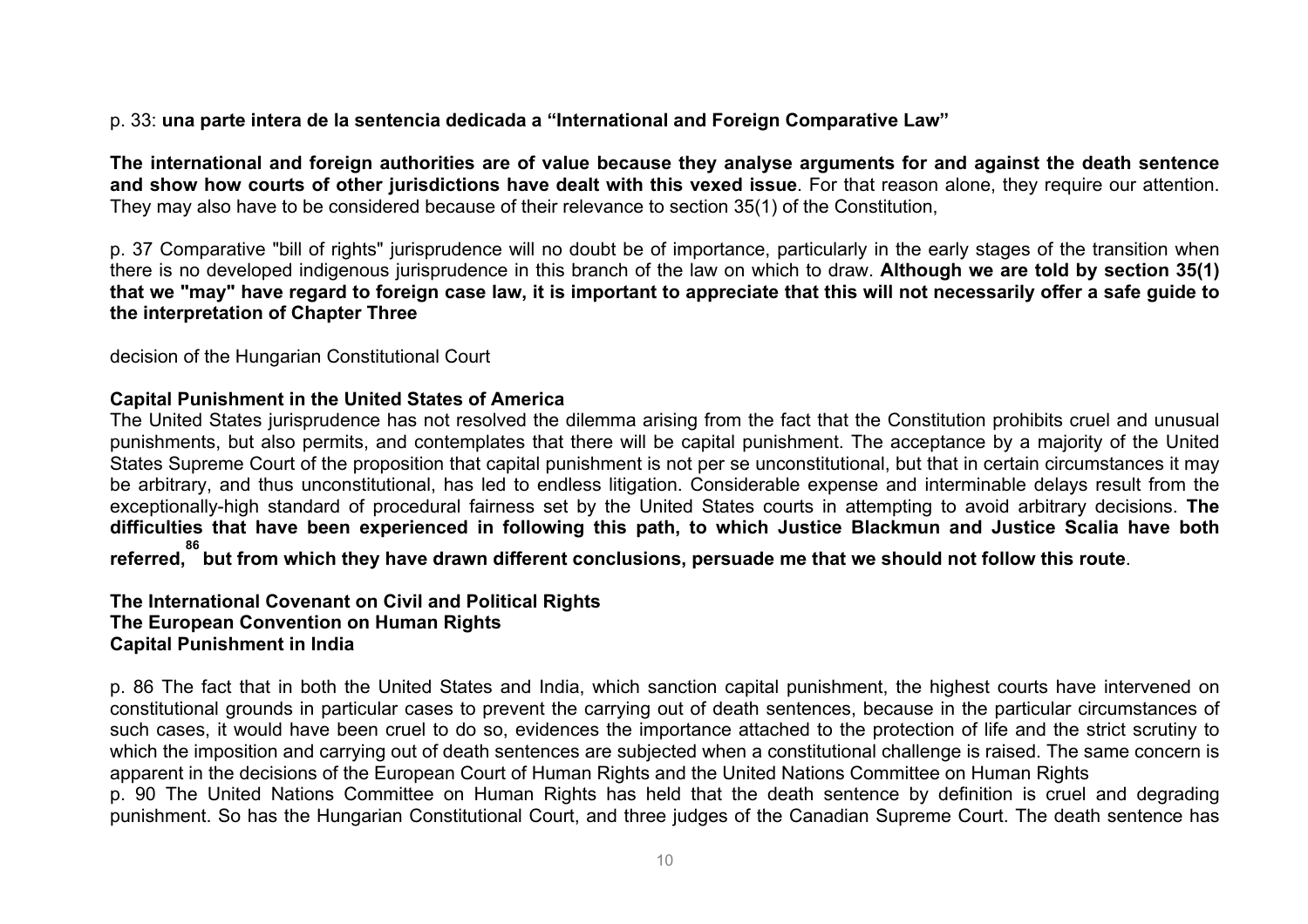### p. 33: **una parte intera de la sentencia dedicada a "International and Foreign Comparative Law"**

**The international and foreign authorities are of value because they analyse arguments for and against the death sentence and show how courts of other jurisdictions have dealt with this vexed issue**. For that reason alone, they require our attention. They may also have to be considered because of their relevance to section 35(1) of the Constitution,

p. 37 Comparative "bill of rights" jurisprudence will no doubt be of importance, particularly in the early stages of the transition when there is no developed indigenous jurisprudence in this branch of the law on which to draw. **Although we are told by section 35(1) that we "may" have regard to foreign case law, it is important to appreciate that this will not necessarily offer a safe guide to the interpretation of Chapter Three**

decision of the Hungarian Constitutional Court

#### **Capital Punishment in the United States of America**

The United States jurisprudence has not resolved the dilemma arising from the fact that the Constitution prohibits cruel and unusual punishments, but also permits, and contemplates that there will be capital punishment. The acceptance by a majority of the United States Supreme Court of the proposition that capital punishment is not per se unconstitutional, but that in certain circumstances it may be arbitrary, and thus unconstitutional, has led to endless litigation. Considerable expense and interminable delays result from the exceptionally-high standard of procedural fairness set by the United States courts in attempting to avoid arbitrary decisions. **The difficulties that have been experienced in following this path, to which Justice Blackmun and Justice Scalia have both referred, 86 but from which they have drawn different conclusions, persuade me that we should not follow this route**.

### **The International Covenant on Civil and Political Rights The European Convention on Human Rights Capital Punishment in India**

p. 86 The fact that in both the United States and India, which sanction capital punishment, the highest courts have intervened on constitutional grounds in particular cases to prevent the carrying out of death sentences, because in the particular circumstances of such cases, it would have been cruel to do so, evidences the importance attached to the protection of life and the strict scrutiny to which the imposition and carrying out of death sentences are subjected when a constitutional challenge is raised. The same concern is apparent in the decisions of the European Court of Human Rights and the United Nations Committee on Human Rights p. 90 The United Nations Committee on Human Rights has held that the death sentence by definition is cruel and degrading punishment. So has the Hungarian Constitutional Court, and three judges of the Canadian Supreme Court. The death sentence has